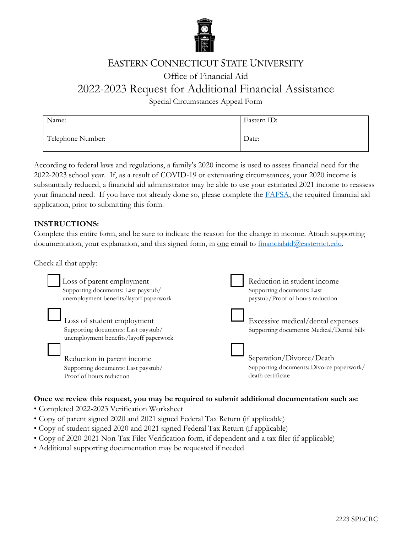

## **EASTERN CONNECTICUT STATE UNIVERSITY**

## Office of Financial Aid

# 2022-2023 Request for Additional Financial Assistance

Special Circumstances Appeal Form

| Name:             | Eastern ID: |
|-------------------|-------------|
| Telephone Number: | Date:       |

According to federal laws and regulations, a family's 2020 income is used to assess financial need for the 2022-2023 school year. If, as a result of COVID-19 or extenuating circumstances, your 2020 income is substantially reduced, a financial aid administrator may be able to use your estimated 2021 income to reassess your financial need. If you have not already done so, please complete the **FAFSA**, the required financial aid application, prior to submitting this form.

### **INSTRUCTIONS:**

Complete this entire form, and be sure to indicate the reason for the change in income. Attach supporting documentation, your explanation, and this signed form, in <u>one</u> email to  $finaricalaid@easternet.edu.$ 

Check all that apply:

| Loss of parent employment                                                                                   | Reduction in student income                                                     |
|-------------------------------------------------------------------------------------------------------------|---------------------------------------------------------------------------------|
| Supporting documents: Last paystub/                                                                         | Supporting documents: Last                                                      |
| unemployment benefits/layoff paperwork                                                                      | paystub/Proof of hours reduction                                                |
| Loss of student employment<br>Supporting documents: Last paystub/<br>unemployment benefits/layoff paperwork | Excessive medical/dental expenses<br>Supporting documents: Medical/Dental bills |
| Reduction in parent income                                                                                  | Separation/Divorce/Death                                                        |
| Supporting documents: Last paystub/                                                                         | Supporting documents: Divorce paperwork/                                        |
| Proof of hours reduction                                                                                    | death certificate                                                               |

### **Once we review this request, you may be required to submit additional documentation such as:**

- Completed 2022-2023 Verification Worksheet
- Copy of parent signed 2020 and 2021 signed Federal Tax Return (if applicable)
- Copy of student signed 2020 and 2021 signed Federal Tax Return (if applicable)
- Copy of 2020-2021 Non-Tax Filer Verification form, if dependent and a tax filer (if applicable)
- Additional supporting documentation may be requested if needed